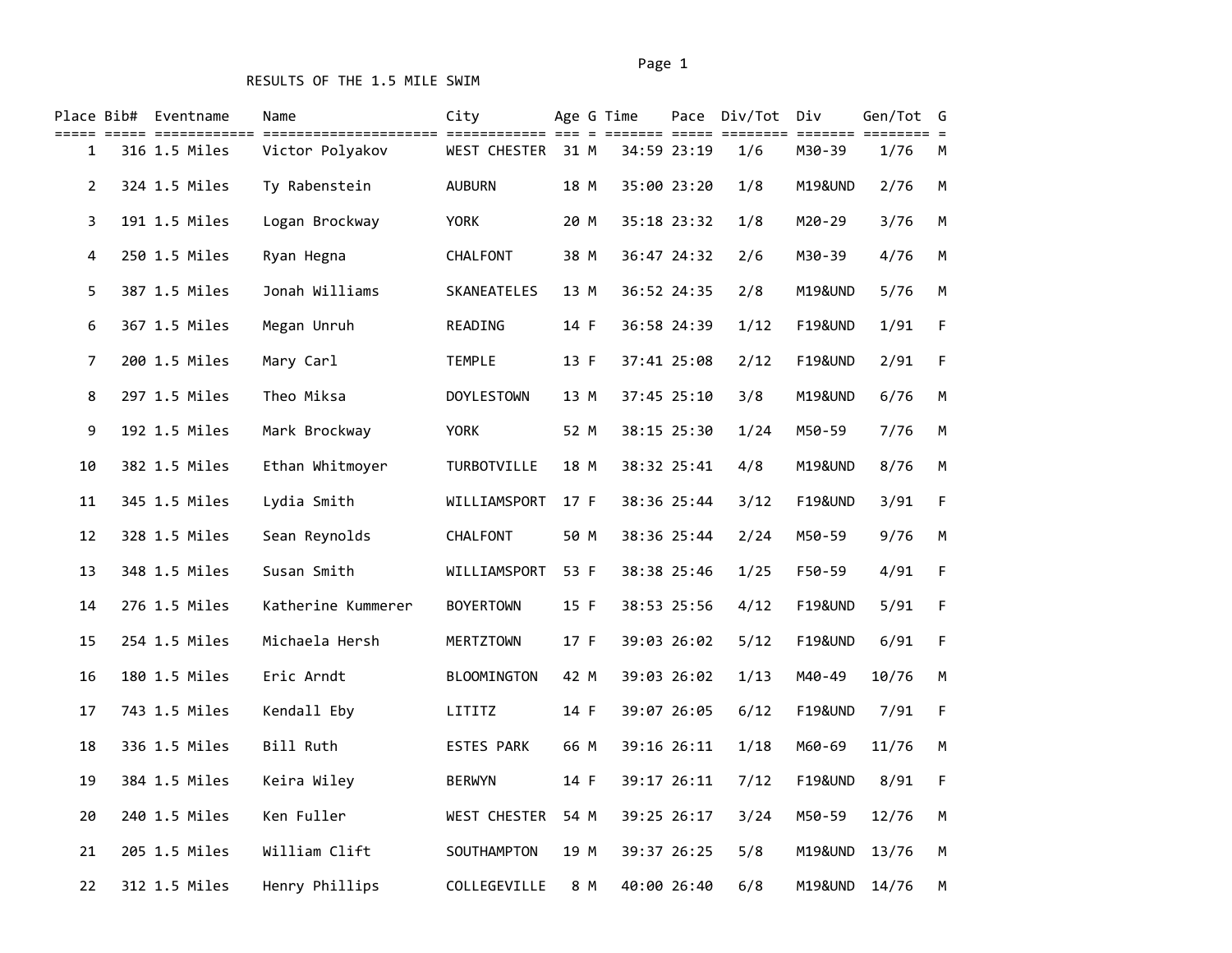|                | Place Bib# Eventname | Name               | City               |      | Age G Time |             | Pace Div/Tot | Div                  | Gen/Tot G |             |
|----------------|----------------------|--------------------|--------------------|------|------------|-------------|--------------|----------------------|-----------|-------------|
| 1              | 316 1.5 Miles        | Victor Polyakov    | WEST CHESTER       | 31 M |            | 34:59 23:19 | 1/6          | ======= ==<br>M30-39 | 1/76      | М           |
| $\overline{2}$ | 324 1.5 Miles        | Ty Rabenstein      | <b>AUBURN</b>      | 18 M |            | 35:00 23:20 | 1/8          | M19&UND              | 2/76      | M           |
| 3              | 191 1.5 Miles        | Logan Brockway     | <b>YORK</b>        | 20 M |            | 35:18 23:32 | 1/8          | M20-29               | 3/76      | M           |
| 4              | 250 1.5 Miles        | Ryan Hegna         | CHALFONT           | 38 M |            | 36:47 24:32 | 2/6          | M30-39               | 4/76      | М           |
| 5              | 387 1.5 Miles        | Jonah Williams     | SKANEATELES        | 13 M |            | 36:52 24:35 | 2/8          | M19&UND              | 5/76      | M           |
| 6              | 367 1.5 Miles        | Megan Unruh        | READING            | 14 F |            | 36:58 24:39 | 1/12         | <b>F19&amp;UND</b>   | 1/91      | F           |
| 7              | 200 1.5 Miles        | Mary Carl          | <b>TEMPLE</b>      | 13 F |            | 37:41 25:08 | 2/12         | <b>F19&amp;UND</b>   | 2/91      | F           |
| 8              | 297 1.5 Miles        | Theo Miksa         | <b>DOYLESTOWN</b>  | 13 M |            | 37:45 25:10 | 3/8          | M19&UND              | 6/76      | M           |
| 9              | 192 1.5 Miles        | Mark Brockway      | <b>YORK</b>        | 52 M |            | 38:15 25:30 | 1/24         | M50-59               | 7/76      | М           |
| 10             | 382 1.5 Miles        | Ethan Whitmoyer    | TURBOTVILLE        | 18 M |            | 38:32 25:41 | 4/8          | M19&UND              | 8/76      | M           |
| 11             | 345 1.5 Miles        | Lydia Smith        | WILLIAMSPORT       | 17 F |            | 38:36 25:44 | 3/12         | <b>F19&amp;UND</b>   | 3/91      | $\sf F$     |
| 12             | 328 1.5 Miles        | Sean Reynolds      | CHALFONT           | 50 M |            | 38:36 25:44 | 2/24         | M50-59               | 9/76      | M           |
| 13             | 348 1.5 Miles        | Susan Smith        | WILLIAMSPORT       | 53 F |            | 38:38 25:46 | 1/25         | F50-59               | 4/91      | $\mathsf F$ |
| 14             | 276 1.5 Miles        | Katherine Kummerer | <b>BOYERTOWN</b>   | 15 F |            | 38:53 25:56 | 4/12         | <b>F19&amp;UND</b>   | 5/91      | F           |
| 15             | 254 1.5 Miles        | Michaela Hersh     | MERTZTOWN          | 17 F |            | 39:03 26:02 | 5/12         | <b>F19&amp;UND</b>   | 6/91      | $\sf F$     |
| 16             | 180 1.5 Miles        | Eric Arndt         | <b>BLOOMINGTON</b> | 42 M |            | 39:03 26:02 | 1/13         | M40-49               | 10/76     | M           |
| 17             | 743 1.5 Miles        | Kendall Eby        | LITITZ             | 14 F |            | 39:07 26:05 | 6/12         | <b>F19&amp;UND</b>   | 7/91      | $\mathsf F$ |
| 18             | 336 1.5 Miles        | Bill Ruth          | <b>ESTES PARK</b>  | 66 M |            | 39:16 26:11 | 1/18         | M60-69               | 11/76     | M           |
| 19             | 384 1.5 Miles        | Keira Wiley        | <b>BERWYN</b>      | 14 F |            | 39:17 26:11 | 7/12         | <b>F19&amp;UND</b>   | 8/91      | $\mathsf F$ |
| 20             | 240 1.5 Miles        | Ken Fuller         | WEST CHESTER       | 54 M |            | 39:25 26:17 | 3/24         | M50-59               | 12/76     | М           |
| 21             | 205 1.5 Miles        | William Clift      | SOUTHAMPTON        | 19 M |            | 39:37 26:25 | 5/8          | M19&UND              | 13/76     | M           |
| 22             | 312 1.5 Miles        | Henry Phillips     | COLLEGEVILLE       | 8 M  |            | 40:00 26:40 | 6/8          | M19&UND              | 14/76     | M           |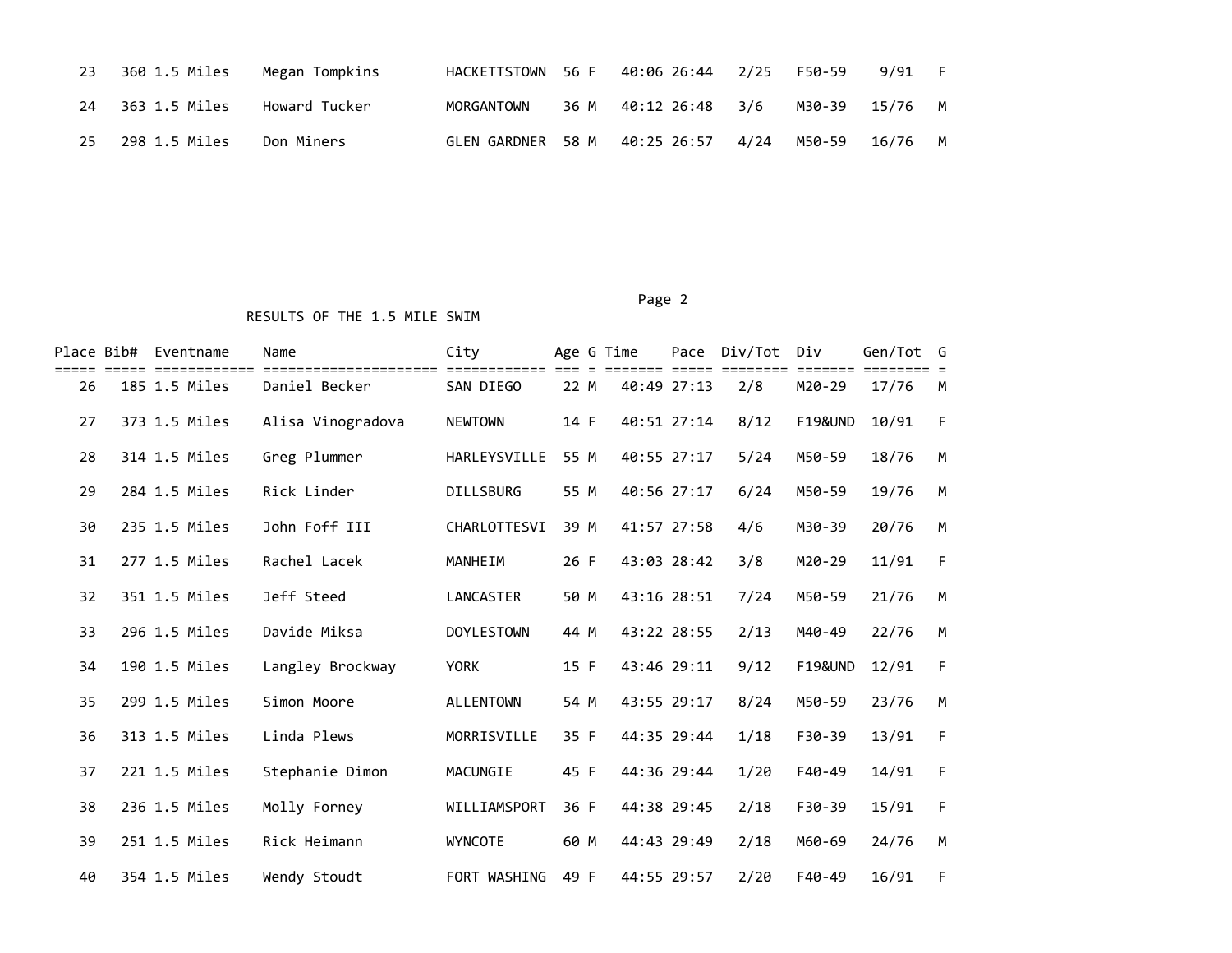| 23 | 360 1.5 Miles | Megan Tompkins |              | HACKETTSTOWN 56 F 40:06 26:44 2/25 |      | F50-59         | 9/91 F  |  |
|----|---------------|----------------|--------------|------------------------------------|------|----------------|---------|--|
| 24 | 363 1.5 Miles | Howard Tucker  | MORGANTOWN   | 36 M 40:12 26:48                   | 3/6  | M30-39 15/76 M |         |  |
| 25 | 298 1.5 Miles | Don Miners     | GLEN GARDNER | 58 M 40:25 26:57                   | 4/24 | M50-59         | 16/76 M |  |

#### Page 2 (2012) 2014 12:30:40 (2012) 2014 12:30:40 (2012) 2014 12:30:40 (2012) 2014 12:30:40 (2012) 2014 12:30:40

| Place Bib# | Eventname     | Name              | City              |      | Age G Time  | Pace Div/Tot | Div                | Gen/Tot G |   |
|------------|---------------|-------------------|-------------------|------|-------------|--------------|--------------------|-----------|---|
| 26         | 185 1.5 Miles | Daniel Becker     | SAN DIEGO         | 22 M | 40:49 27:13 | 2/8          | $M20 - 29$         | 17/76     | M |
| 27         | 373 1.5 Miles | Alisa Vinogradova | <b>NEWTOWN</b>    | 14 F | 40:51 27:14 | 8/12         | <b>F19&amp;UND</b> | 10/91     | F |
| 28         | 314 1.5 Miles | Greg Plummer      | HARLEYSVILLE      | 55 M | 40:55 27:17 | 5/24         | M50-59             | 18/76     | M |
| 29         | 284 1.5 Miles | Rick Linder       | <b>DILLSBURG</b>  | 55 M | 40:56 27:17 | 6/24         | M50-59             | 19/76     | M |
| 30         | 235 1.5 Miles | John Foff III     | CHARLOTTESVI      | 39 M | 41:57 27:58 | 4/6          | M30-39             | 20/76     | M |
| 31         | 277 1.5 Miles | Rachel Lacek      | <b>MANHEIM</b>    | 26 F | 43:03 28:42 | 3/8          | M20-29             | 11/91     | F |
| 32         | 351 1.5 Miles | Jeff Steed        | LANCASTER         | 50 M | 43:16 28:51 | 7/24         | M50-59             | 21/76     | M |
| 33         | 296 1.5 Miles | Davide Miksa      | <b>DOYLESTOWN</b> | 44 M | 43:22 28:55 | 2/13         | M40-49             | 22/76     | M |
| 34         | 190 1.5 Miles | Langley Brockway  | <b>YORK</b>       | 15 F | 43:46 29:11 | 9/12         | <b>F19&amp;UND</b> | 12/91     | F |
| 35         | 299 1.5 Miles | Simon Moore       | <b>ALLENTOWN</b>  | 54 M | 43:55 29:17 | 8/24         | M50-59             | 23/76     | M |
| 36         | 313 1.5 Miles | Linda Plews       | MORRISVILLE       | 35 F | 44:35 29:44 | 1/18         | F30-39             | 13/91     | F |
| 37         | 221 1.5 Miles | Stephanie Dimon   | MACUNGIE          | 45 F | 44:36 29:44 | 1/20         | $F40-49$           | 14/91     | F |
| 38         | 236 1.5 Miles | Molly Forney      | WILLIAMSPORT      | 36 F | 44:38 29:45 | 2/18         | F30-39             | 15/91     | F |
| 39         | 251 1.5 Miles | Rick Heimann      | <b>WYNCOTE</b>    | 60 M | 44:43 29:49 | 2/18         | M60-69             | 24/76     | M |
| 40         | 354 1.5 Miles | Wendy Stoudt      | FORT WASHING      | 49 F | 44:55 29:57 | 2/20         | $F40-49$           | 16/91     | F |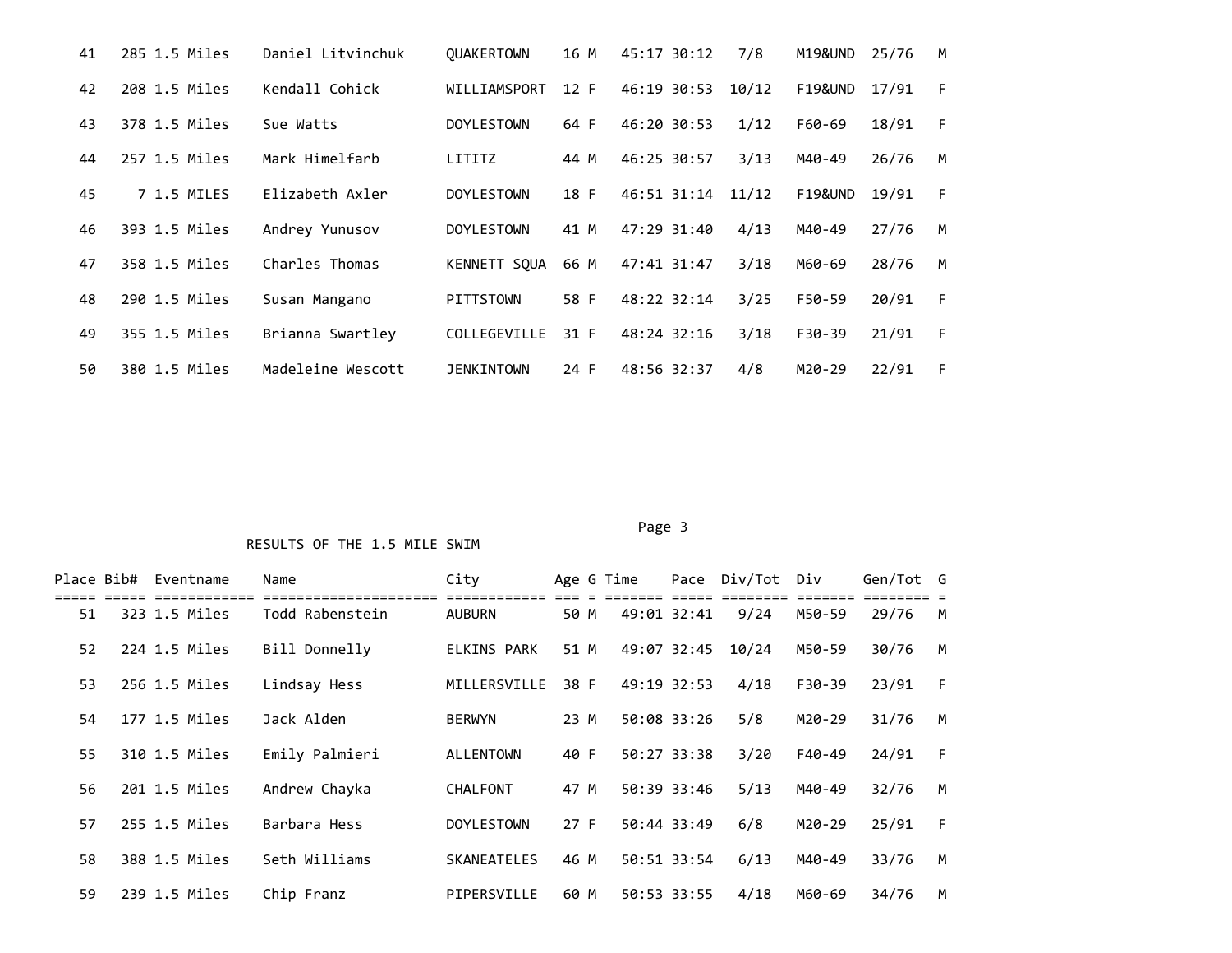| 41 | 285 1.5 Miles | Daniel Litvinchuk | <b>OUAKERTOWN</b> | 16 M | 45:17 30:12 | 7/8   | M19&UND            | 25/76 | M |
|----|---------------|-------------------|-------------------|------|-------------|-------|--------------------|-------|---|
| 42 | 208 1.5 Miles | Kendall Cohick    | WILLIAMSPORT      | 12 F | 46:19 30:53 | 10/12 | F19&UND            | 17/91 | F |
| 43 | 378 1.5 Miles | Sue Watts         | <b>DOYLESTOWN</b> | 64 F | 46:20 30:53 | 1/12  | F60-69             | 18/91 | F |
| 44 | 257 1.5 Miles | Mark Himelfarb    | LITITZ            | 44 M | 46:25 30:57 | 3/13  | M40-49             | 26/76 | M |
| 45 | 7 1.5 MILES   | Elizabeth Axler   | <b>DOYLESTOWN</b> | 18 F | 46:51 31:14 | 11/12 | <b>F19&amp;UND</b> | 19/91 | F |
| 46 | 393 1.5 Miles | Andrey Yunusov    | <b>DOYLESTOWN</b> | 41 M | 47:29 31:40 | 4/13  | M40-49             | 27/76 | M |
| 47 | 358 1.5 Miles | Charles Thomas    | KENNETT SOUA      | 66 M | 47:41 31:47 | 3/18  | M60-69             | 28/76 | M |
| 48 | 290 1.5 Miles | Susan Mangano     | <b>PITTSTOWN</b>  | 58 F | 48:22 32:14 | 3/25  | F50-59             | 20/91 | F |
| 49 | 355 1.5 Miles | Brianna Swartley  | COLLEGEVILLE      | 31 F | 48:24 32:16 | 3/18  | F30-39             | 21/91 | F |
| 50 | 380 1.5 Miles | Madeleine Wescott | <b>JENKINTOWN</b> | 24 F | 48:56 32:37 | 4/8   | $M20-29$           | 22/91 | F |

#### Page 3 and 2012 and 2012 and 2012 and 2012 and 2012 and 2012 and 2012 and 2012 and 2012 and 2012 and 2012 and

| Place Bib# |       | Eventname               | Name            | City               |      | Age G Time            |     | Pace Div/Tot | Div    | Gen/Tot G |   |
|------------|-------|-------------------------|-----------------|--------------------|------|-----------------------|-----|--------------|--------|-----------|---|
| 51         | ----- | ------<br>323 1.5 Miles | Todd Rabenstein | <b>AUBURN</b>      | 50 M | ======<br>49:01 32:41 | === | 9/24         | M50-59 | 29/76     | M |
| 52         |       | 224 1.5 Miles           | Bill Donnelly   | ELKINS PARK        | 51 M | 49:07 32:45           |     | 10/24        | M50-59 | 30/76     | M |
| 53         |       | 256 1.5 Miles           | Lindsay Hess    | MILLERSVILLE       | 38 F | 49:19 32:53           |     | 4/18         | F30-39 | 23/91     | F |
| 54         |       | 177 1.5 Miles           | Jack Alden      | <b>BERWYN</b>      | 23 M | 50:08 33:26           |     | 5/8          | M20-29 | 31/76     | M |
| 55         |       | 310 1.5 Miles           | Emily Palmieri  | <b>ALLENTOWN</b>   | 40 F | 50:27 33:38           |     | 3/20         | F40-49 | 24/91     | F |
| 56         |       | 201 1.5 Miles           | Andrew Chayka   | <b>CHALFONT</b>    | 47 M | 50:39 33:46           |     | 5/13         | M40-49 | 32/76     | M |
| 57         |       | 255 1.5 Miles           | Barbara Hess    | <b>DOYLESTOWN</b>  | 27 F | 50:44 33:49           |     | 6/8          | M20-29 | 25/91     | F |
| 58         |       | 388 1.5 Miles           | Seth Williams   | <b>SKANEATELES</b> | 46 M | 50:51 33:54           |     | 6/13         | M40-49 | 33/76     | M |
| 59         |       | 239 1.5 Miles           | Chip Franz      | PIPERSVILLE        | 60 M | 50:53 33:55           |     | 4/18         | M60-69 | 34/76     | M |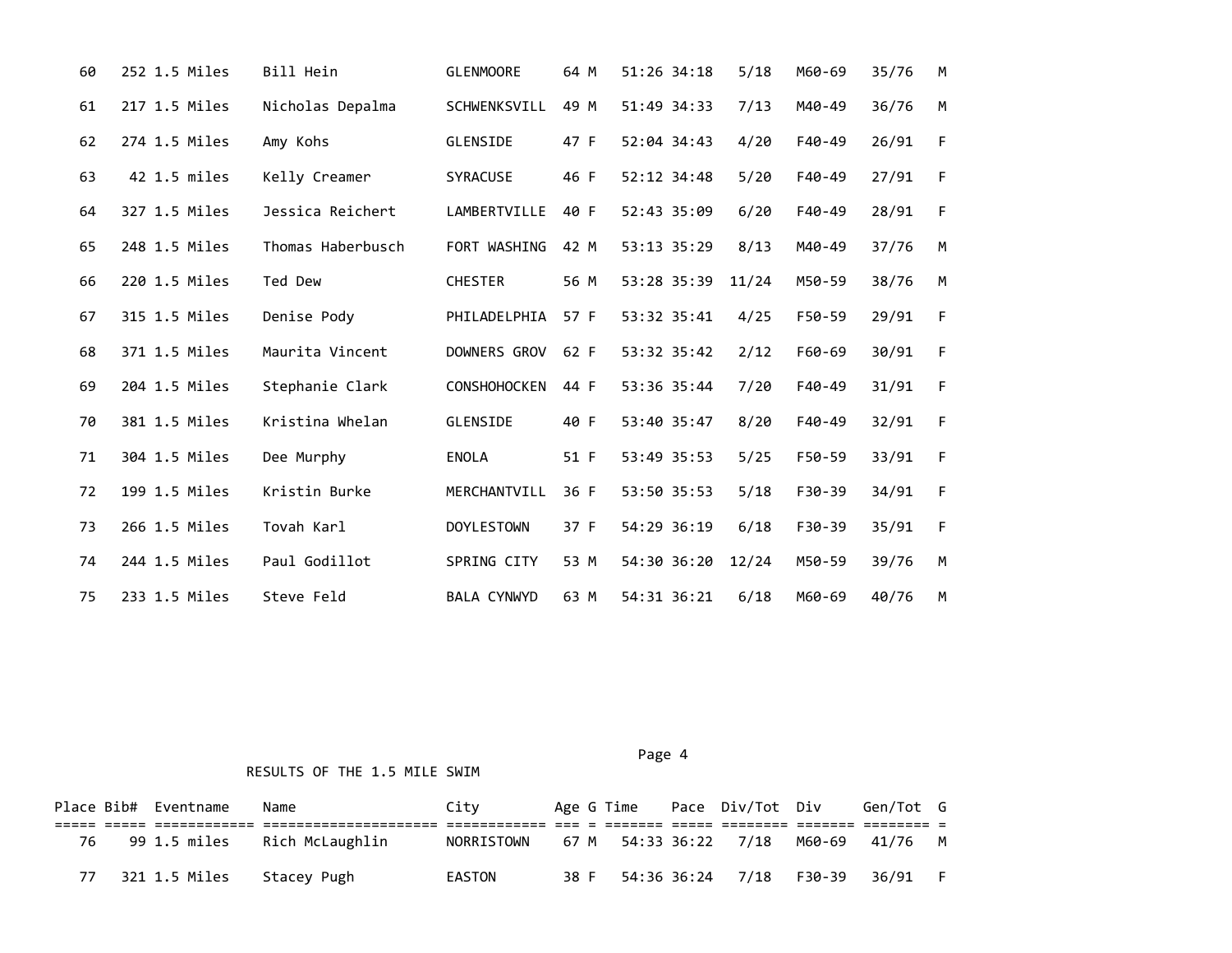| 60 | 252 1.5 Miles | Bill Hein         | <b>GLENMOORE</b>    | 64 M | 51:26 34:18 | 5/18  | M60-69   | 35/76 | M |
|----|---------------|-------------------|---------------------|------|-------------|-------|----------|-------|---|
| 61 | 217 1.5 Miles | Nicholas Depalma  | <b>SCHWENKSVILL</b> | 49 M | 51:49 34:33 | 7/13  | M40-49   | 36/76 | M |
| 62 | 274 1.5 Miles | Amy Kohs          | GLENSIDE            | 47 F | 52:04 34:43 | 4/20  | F40-49   | 26/91 | F |
| 63 | 42 1.5 miles  | Kelly Creamer     | <b>SYRACUSE</b>     | 46 F | 52:12 34:48 | 5/20  | F40-49   | 27/91 | F |
| 64 | 327 1.5 Miles | Jessica Reichert  | LAMBERTVILLE        | 40 F | 52:43 35:09 | 6/20  | F40-49   | 28/91 | F |
| 65 | 248 1.5 Miles | Thomas Haberbusch | FORT WASHING        | 42 M | 53:13 35:29 | 8/13  | M40-49   | 37/76 | M |
| 66 | 220 1.5 Miles | Ted Dew           | <b>CHESTER</b>      | 56 M | 53:28 35:39 | 11/24 | M50-59   | 38/76 | M |
| 67 | 315 1.5 Miles | Denise Pody       | PHILADELPHIA        | 57 F | 53:32 35:41 | 4/25  | F50-59   | 29/91 | F |
| 68 | 371 1.5 Miles | Maurita Vincent   | DOWNERS GROV        | 62 F | 53:32 35:42 | 2/12  | F60-69   | 30/91 | F |
| 69 | 204 1.5 Miles | Stephanie Clark   | <b>CONSHOHOCKEN</b> | 44 F | 53:36 35:44 | 7/20  | F40-49   | 31/91 | F |
| 70 | 381 1.5 Miles | Kristina Whelan   | GLENSIDE            | 40 F | 53:40 35:47 | 8/20  | F40-49   | 32/91 | F |
| 71 | 304 1.5 Miles | Dee Murphy        | ENOLA               | 51 F | 53:49 35:53 | 5/25  | F50-59   | 33/91 | F |
| 72 | 199 1.5 Miles | Kristin Burke     | MERCHANTVILL        | 36 F | 53:50 35:53 | 5/18  | F30-39   | 34/91 | F |
| 73 | 266 1.5 Miles | Tovah Karl        | <b>DOYLESTOWN</b>   | 37 F | 54:29 36:19 | 6/18  | $F30-39$ | 35/91 | F |
| 74 | 244 1.5 Miles | Paul Godillot     | SPRING CITY         | 53 M | 54:30 36:20 | 12/24 | M50-59   | 39/76 | M |
| 75 | 233 1.5 Miles | Steve Feld        | <b>BALA CYNWYD</b>  | 63 M | 54:31 36:21 | 6/18  | M60-69   | 40/76 | M |

RESULTS OF THE 1.5 MILE SWIM

Place Bib# Eventname Name **City** Age G Time Pace Div/Tot Div Gen/Tot G ===== ===== ============ ===================== ============ === = ======= ===== ======== ======= ======== = 76 99 1.5 miles Rich McLaughlin NORRISTOWN 67 M 54:33 36:22 7/18 M60-69 41/76 M 77 321 1.5 Miles Stacey Pugh EASTON 38 F 54:36 36:24 7/18 F30-39 36/91 F

Page 4 and the state of the state of the state of the state of the state of the state of the state of the state of the state of the state of the state of the state of the state of the state of the state of the state of the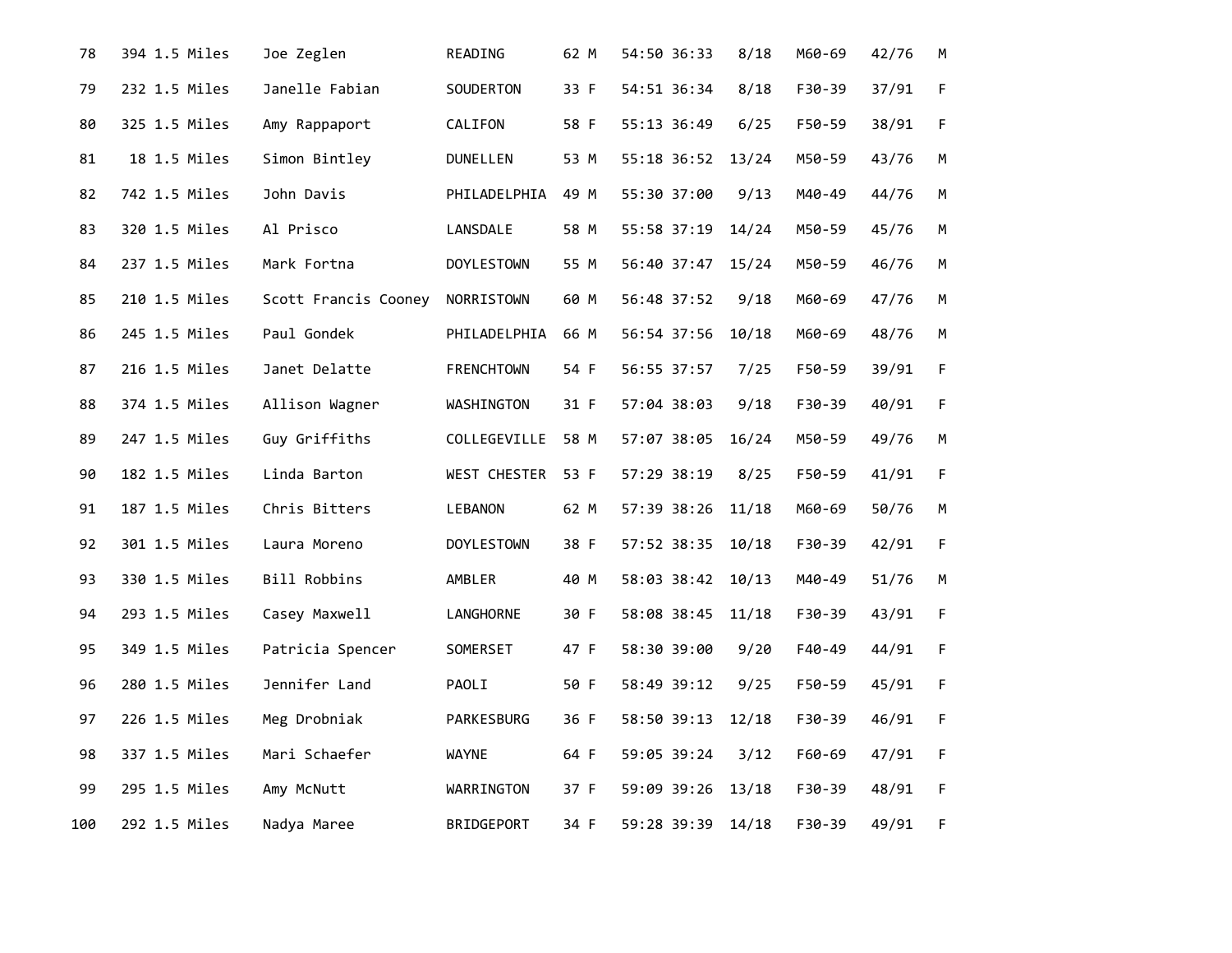| 78  | 394 1.5 Miles | Joe Zeglen           | READING           | 62 M | 54:50 36:33       | 8/18  | M60-69 | 42/76 | M           |
|-----|---------------|----------------------|-------------------|------|-------------------|-------|--------|-------|-------------|
| 79  | 232 1.5 Miles | Janelle Fabian       | SOUDERTON         | 33 F | 54:51 36:34       | 8/18  | F30-39 | 37/91 | $\mathsf F$ |
| 80  | 325 1.5 Miles | Amy Rappaport        | CALIFON           | 58 F | 55:13 36:49       | 6/25  | F50-59 | 38/91 | $\mathsf F$ |
| 81  | 18 1.5 Miles  | Simon Bintley        | <b>DUNELLEN</b>   | 53 M | 55:18 36:52       | 13/24 | M50-59 | 43/76 | M           |
| 82  | 742 1.5 Miles | John Davis           | PHILADELPHIA      | 49 M | 55:30 37:00       | 9/13  | M40-49 | 44/76 | М           |
| 83  | 320 1.5 Miles | Al Prisco            | LANSDALE          | 58 M | 55:58 37:19       | 14/24 | M50-59 | 45/76 | M           |
| 84  | 237 1.5 Miles | Mark Fortna          | <b>DOYLESTOWN</b> | 55 M | 56:40 37:47       | 15/24 | M50-59 | 46/76 | М           |
| 85  | 210 1.5 Miles | Scott Francis Cooney | NORRISTOWN        | 60 M | 56:48 37:52       | 9/18  | M60-69 | 47/76 | М           |
| 86  | 245 1.5 Miles | Paul Gondek          | PHILADELPHIA      | 66 M | 56:54 37:56       | 10/18 | M60-69 | 48/76 | M           |
| 87  | 216 1.5 Miles | Janet Delatte        | <b>FRENCHTOWN</b> | 54 F | 56:55 37:57       | 7/25  | F50-59 | 39/91 | $\mathsf F$ |
| 88  | 374 1.5 Miles | Allison Wagner       | WASHINGTON        | 31 F | 57:04 38:03       | 9/18  | F30-39 | 40/91 | $\mathsf F$ |
| 89  | 247 1.5 Miles | Guy Griffiths        | COLLEGEVILLE 58 M |      | 57:07 38:05       | 16/24 | M50-59 | 49/76 | M           |
| 90  | 182 1.5 Miles | Linda Barton         | WEST CHESTER      | 53 F | 57:29 38:19       | 8/25  | F50-59 | 41/91 | $\mathsf F$ |
| 91  | 187 1.5 Miles | Chris Bitters        | LEBANON           | 62 M | 57:39 38:26       | 11/18 | M60-69 | 50/76 | M           |
| 92  | 301 1.5 Miles | Laura Moreno         | <b>DOYLESTOWN</b> | 38 F | 57:52 38:35       | 10/18 | F30-39 | 42/91 | $\mathsf F$ |
| 93  | 330 1.5 Miles | Bill Robbins         | AMBLER            | 40 M | 58:03 38:42       | 10/13 | M40-49 | 51/76 | M           |
| 94  | 293 1.5 Miles | Casey Maxwell        | LANGHORNE         | 30 F | 58:08 38:45 11/18 |       | F30-39 | 43/91 | $\mathsf F$ |
| 95  | 349 1.5 Miles | Patricia Spencer     | SOMERSET          | 47 F | 58:30 39:00       | 9/20  | F40-49 | 44/91 | $\mathsf F$ |
| 96  | 280 1.5 Miles | Jennifer Land        | PAOLI             | 50 F | 58:49 39:12       | 9/25  | F50-59 | 45/91 | $\mathsf F$ |
| 97  | 226 1.5 Miles | Meg Drobniak         | PARKESBURG        | 36 F | 58:50 39:13       | 12/18 | F30-39 | 46/91 | $\mathsf F$ |
| 98  | 337 1.5 Miles | Mari Schaefer        | <b>WAYNE</b>      | 64 F | 59:05 39:24       | 3/12  | F60-69 | 47/91 | $\mathsf F$ |
| 99  | 295 1.5 Miles | Amy McNutt           | WARRINGTON        | 37 F | 59:09 39:26       | 13/18 | F30-39 | 48/91 | $\mathsf F$ |
| 100 | 292 1.5 Miles | Nadya Maree          | BRIDGEPORT        | 34 F | 59:28 39:39 14/18 |       | F30-39 | 49/91 | F           |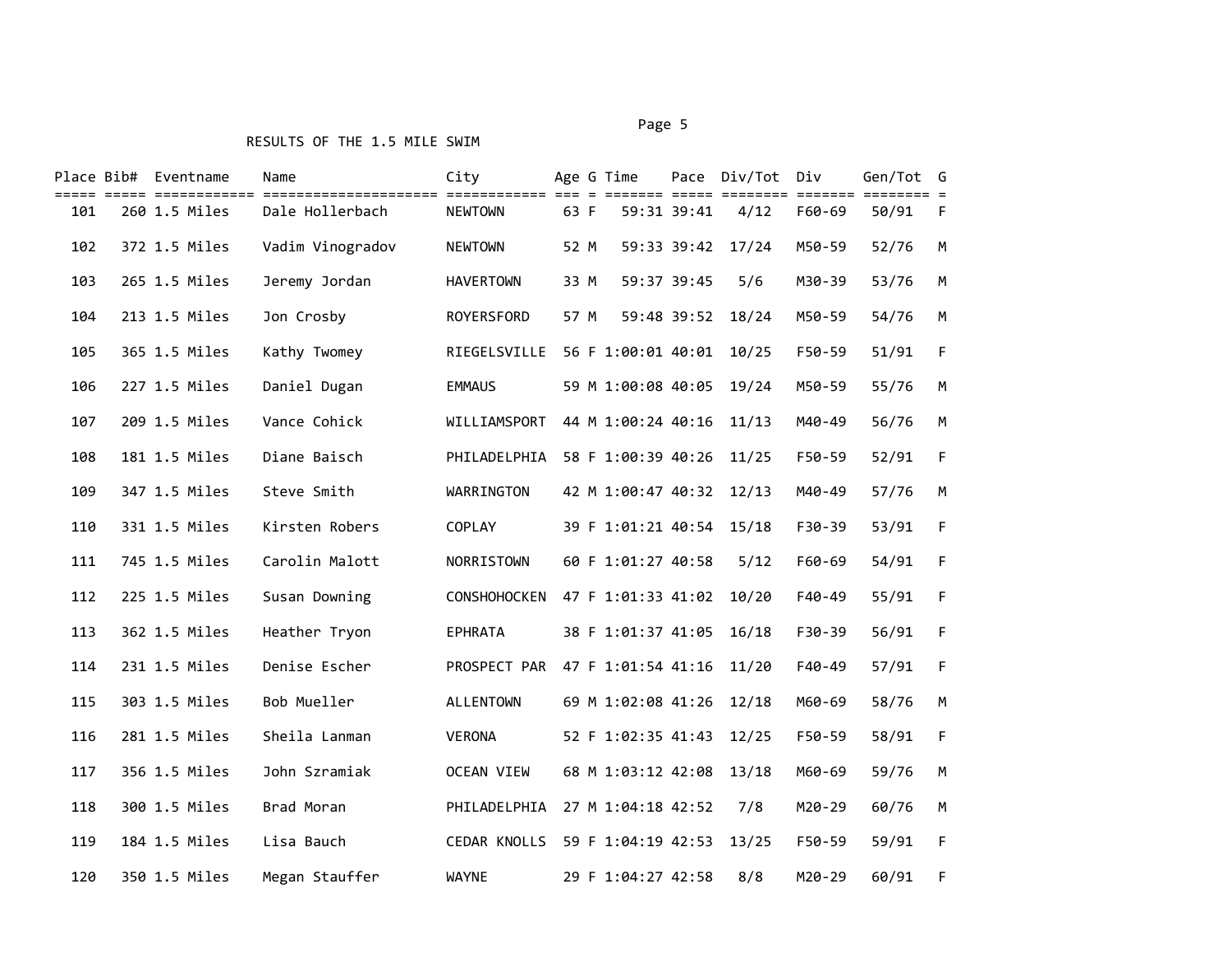### RESULTS OF THE 1.5 MILE SWIM

#### Page 5 and 2012 and 2012 and 2012 and 2012 and 2012 and 2012 and 2012 and 2012 and 2012 and 2012 and 2012 and

|     | Place Bib# Eventname | Name             | City                |      | Age G Time               |             | Pace Div/Tot Div              |                          | Gen/Tot G |     |
|-----|----------------------|------------------|---------------------|------|--------------------------|-------------|-------------------------------|--------------------------|-----------|-----|
| 101 | 260 1.5 Miles        | Dale Hollerbach  | <b>NEWTOWN</b>      | 63 F | 59:31 39:41              |             | ====== ===== ========<br>4/12 | ======= ======<br>F60-69 | 50/91     | - F |
| 102 | 372 1.5 Miles        | Vadim Vinogradov | <b>NEWTOWN</b>      | 52 M |                          | 59:33 39:42 | 17/24                         | M50-59                   | 52/76     | M   |
| 103 | 265 1.5 Miles        | Jeremy Jordan    | <b>HAVERTOWN</b>    | 33 M | 59:37 39:45              |             | 5/6                           | M30-39                   | 53/76     | M   |
| 104 | 213 1.5 Miles        | Jon Crosby       | ROYERSFORD          | 57 M |                          | 59:48 39:52 | 18/24                         | M50-59                   | 54/76     | M   |
| 105 | 365 1.5 Miles        | Kathy Twomey     | RIEGELSVILLE        |      | 56 F 1:00:01 40:01       |             | 10/25                         | F50-59                   | 51/91     | F   |
| 106 | 227 1.5 Miles        | Daniel Dugan     | <b>EMMAUS</b>       |      | 59 M 1:00:08 40:05       |             | 19/24                         | M50-59                   | 55/76     | M   |
| 107 | 209 1.5 Miles        | Vance Cohick     | WILLIAMSPORT        |      | 44 M 1:00:24 40:16       |             | 11/13                         | M40-49                   | 56/76     | M   |
| 108 | 181 1.5 Miles        | Diane Baisch     | PHILADELPHIA        |      | 58 F 1:00:39 40:26       |             | 11/25                         | F50-59                   | 52/91     | F   |
| 109 | 347 1.5 Miles        | Steve Smith      | WARRINGTON          |      | 42 M 1:00:47 40:32 12/13 |             |                               | M40-49                   | 57/76     | M   |
| 110 | 331 1.5 Miles        | Kirsten Robers   | COPLAY              |      | 39 F 1:01:21 40:54 15/18 |             |                               | F30-39                   | 53/91     | F   |
| 111 | 745 1.5 Miles        | Carolin Malott   | NORRISTOWN          |      | 60 F 1:01:27 40:58       |             | 5/12                          | F60-69                   | 54/91     | F   |
| 112 | 225 1.5 Miles        | Susan Downing    | <b>CONSHOHOCKEN</b> |      | 47 F 1:01:33 41:02       |             | 10/20                         | F40-49                   | 55/91     | F   |
| 113 | 362 1.5 Miles        | Heather Tryon    | <b>EPHRATA</b>      |      | 38 F 1:01:37 41:05       |             | 16/18                         | $F30-39$                 | 56/91     | F   |
| 114 | 231 1.5 Miles        | Denise Escher    | PROSPECT PAR        |      | 47 F 1:01:54 41:16       |             | 11/20                         | F40-49                   | 57/91     | F   |
| 115 | 303 1.5 Miles        | Bob Mueller      | ALLENTOWN           |      | 69 M 1:02:08 41:26       |             | 12/18                         | M60-69                   | 58/76     | М   |
| 116 | 281 1.5 Miles        | Sheila Lanman    | VERONA              |      | 52 F 1:02:35 41:43       |             | 12/25                         | F50-59                   | 58/91     | F   |
| 117 | 356 1.5 Miles        | John Szramiak    | OCEAN VIEW          |      | 68 M 1:03:12 42:08       |             | 13/18                         | M60-69                   | 59/76     | M   |
| 118 | 300 1.5 Miles        | Brad Moran       | PHILADELPHIA        |      | 27 M 1:04:18 42:52       |             | 7/8                           | M20-29                   | 60/76     | М   |
| 119 | 184 1.5 Miles        | Lisa Bauch       | <b>CEDAR KNOLLS</b> |      | 59 F 1:04:19 42:53       |             | 13/25                         | F50-59                   | 59/91     | F   |
| 120 | 350 1.5 Miles        | Megan Stauffer   | <b>WAYNE</b>        |      | 29 F 1:04:27 42:58       |             | 8/8                           | M20-29                   | 60/91     | F   |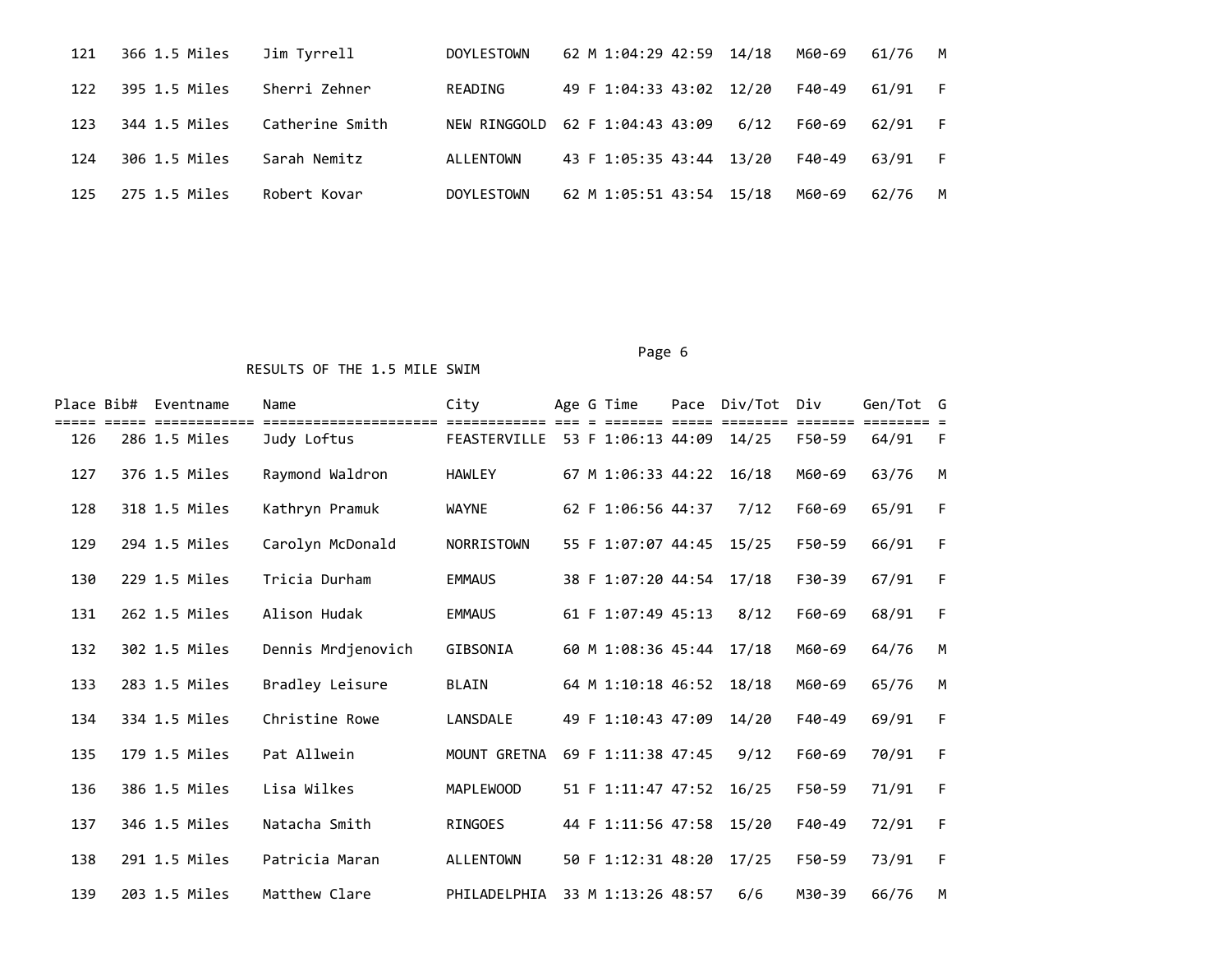| 121 | 366 1.5 Miles | Jim Tyrrell     | <b>DOYLESTOWN</b> | 62 M 1:04:29 42:59 14/18 |      | M60-69 | 61/76   | M   |
|-----|---------------|-----------------|-------------------|--------------------------|------|--------|---------|-----|
| 122 | 395 1.5 Miles | Sherri Zehner   | READING           | 49 F 1:04:33 43:02 12/20 |      | F40-49 | 61/91   | - F |
| 123 | 344 1.5 Miles | Catherine Smith | NEW RINGGOLD      | 62 F 1:04:43 43:09       | 6/12 | F60-69 | 62/91 F |     |
| 124 | 306 1.5 Miles | Sarah Nemitz    | ALLENTOWN         | 43 F 1:05:35 43:44 13/20 |      | F40-49 | 63/91   | - F |
| 125 | 275 1.5 Miles | Robert Kovar    | <b>DOYLESTOWN</b> | 62 M 1:05:51 43:54 15/18 |      | M60-69 | 62/76   | M   |

# Page 6

| Place Bib# | Eventname     | Name               | City             |  | Age G Time               | Pace | Div/Tot | Div      | Gen/Tot G |   |
|------------|---------------|--------------------|------------------|--|--------------------------|------|---------|----------|-----------|---|
| 126        | 286 1.5 Miles | Judy Loftus        | FEASTERVILLE     |  | 53 F 1:06:13 44:09       |      | 14/25   | F50-59   | 64/91     | F |
| 127        | 376 1.5 Miles | Raymond Waldron    | <b>HAWLEY</b>    |  | 67 M 1:06:33 44:22       |      | 16/18   | M60-69   | 63/76     | M |
| 128        | 318 1.5 Miles | Kathryn Pramuk     | <b>WAYNE</b>     |  | 62 F 1:06:56 44:37       |      | 7/12    | F60-69   | 65/91     | F |
| 129        | 294 1.5 Miles | Carolyn McDonald   | NORRISTOWN       |  | 55 F 1:07:07 44:45       |      | 15/25   | F50-59   | 66/91     | F |
| 130        | 229 1.5 Miles | Tricia Durham      | <b>EMMAUS</b>    |  | 38 F 1:07:20 44:54 17/18 |      |         | F30-39   | 67/91     | F |
| 131        | 262 1.5 Miles | Alison Hudak       | <b>EMMAUS</b>    |  | 61 F 1:07:49 45:13       |      | 8/12    | F60-69   | 68/91     | F |
| 132        | 302 1.5 Miles | Dennis Mrdjenovich | GIBSONIA         |  | 60 M 1:08:36 45:44       |      | 17/18   | M60-69   | 64/76     | M |
| 133        | 283 1.5 Miles | Bradley Leisure    | <b>BLAIN</b>     |  | 64 M 1:10:18 46:52       |      | 18/18   | M60-69   | 65/76     | M |
| 134        | 334 1.5 Miles | Christine Rowe     | LANSDALE         |  | 49 F 1:10:43 47:09       |      | 14/20   | $F40-49$ | 69/91     | F |
| 135        | 179 1.5 Miles | Pat Allwein        | MOUNT GRETNA     |  | 69 F 1:11:38 47:45       |      | 9/12    | F60-69   | 70/91     | F |
| 136        | 386 1.5 Miles | Lisa Wilkes        | <b>MAPLEWOOD</b> |  | 51 F 1:11:47 47:52       |      | 16/25   | F50-59   | 71/91     | F |
| 137        | 346 1.5 Miles | Natacha Smith      | RINGOES          |  | 44 F 1:11:56 47:58       |      | 15/20   | F40-49   | 72/91     | F |
| 138        | 291 1.5 Miles | Patricia Maran     | <b>ALLENTOWN</b> |  | 50 F 1:12:31 48:20       |      | 17/25   | F50-59   | 73/91     | F |
| 139        | 203 1.5 Miles | Matthew Clare      | PHILADELPHIA     |  | 33 M 1:13:26 48:57       |      | 6/6     | M30-39   | 66/76     | M |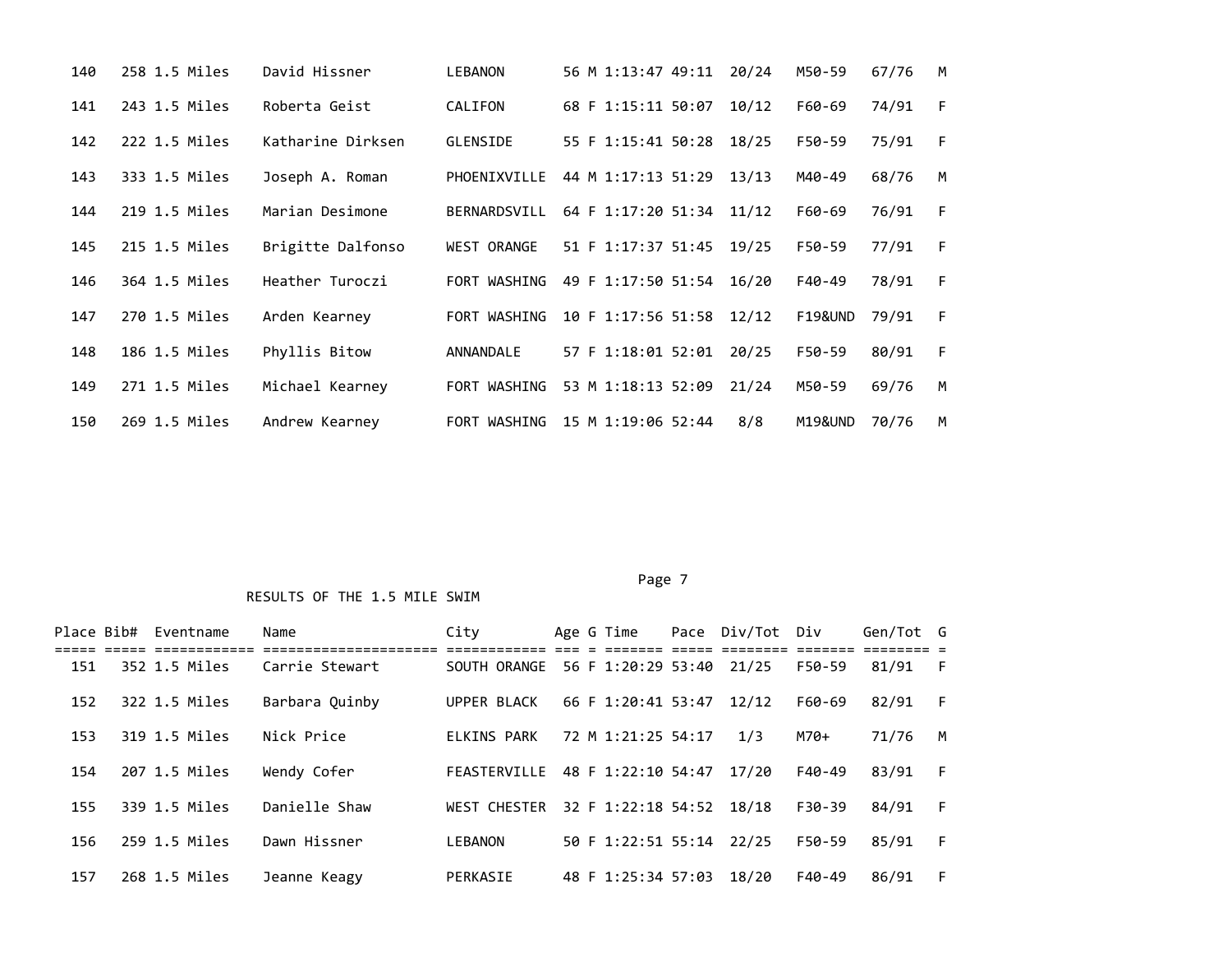| 140 | 258 1.5 Miles | David Hissner     | <b>LEBANON</b>     | 56 M 1:13:47 49:11       | 20/24 | M50-59  | 67/76 | M |
|-----|---------------|-------------------|--------------------|--------------------------|-------|---------|-------|---|
| 141 | 243 1.5 Miles | Roberta Geist     | CALIFON            | 68 F 1:15:11 50:07       | 10/12 | F60-69  | 74/91 | F |
| 142 | 222 1.5 Miles | Katharine Dirksen | GLENSIDE           | 55 F 1:15:41 50:28       | 18/25 | F50-59  | 75/91 | F |
| 143 | 333 1.5 Miles | Joseph A. Roman   | PHOENIXVILLE       | 44 M 1:17:13 51:29       | 13/13 | M40-49  | 68/76 | M |
| 144 | 219 1.5 Miles | Marian Desimone   | BERNARDSVILL       | 64 F 1:17:20 51:34 11/12 |       | F60-69  | 76/91 | F |
| 145 | 215 1.5 Miles | Brigitte Dalfonso | <b>WEST ORANGE</b> | 51 F 1:17:37 51:45       | 19/25 | F50-59  | 77/91 | F |
| 146 | 364 1.5 Miles | Heather Turoczi   | FORT WASHING       | 49 F 1:17:50 51:54       | 16/20 | F40-49  | 78/91 | F |
| 147 | 270 1.5 Miles | Arden Kearney     | FORT WASHING       | 10 F 1:17:56 51:58       | 12/12 | F19&UND | 79/91 | F |
| 148 | 186 1.5 Miles | Phyllis Bitow     | ANNANDALE          | 57 F 1:18:01 52:01       | 20/25 | F50-59  | 80/91 | F |
| 149 | 271 1.5 Miles | Michael Kearney   | FORT WASHING       | 53 M 1:18:13 52:09       | 21/24 | M50-59  | 69/76 | M |
| 150 | 269 1.5 Miles | Andrew Kearney    | FORT WASHING       | 15 M 1:19:06 52:44       | 8/8   | M19&UND | 70/76 | M |

#### Page 7

| Place Bib# | Eventname     | Name           | City                |  | Age G Time               | Pace Div/Tot Div |        | Gen/Tot G |    |
|------------|---------------|----------------|---------------------|--|--------------------------|------------------|--------|-----------|----|
| 151        | 352 1.5 Miles | Carrie Stewart | SOUTH ORANGE        |  | 56 F 1:20:29 53:40 21/25 |                  | F50-59 | 81/91     | F  |
| 152        | 322 1.5 Miles | Barbara Ouinby | UPPER BLACK         |  | 66 F 1:20:41 53:47       | 12/12            | F60-69 | 82/91     | F. |
| 153        | 319 1.5 Miles | Nick Price     | ELKINS PARK         |  | 72 M 1:21:25 54:17       | 1/3              | $M70+$ | 71/76     | M  |
| 154        | 207 1.5 Miles | Wendy Cofer    | FEASTERVILLE        |  | 48 F 1:22:10 54:47       | 17/20            | F40-49 | 83/91     | F  |
| 155        | 339 1.5 Miles | Danielle Shaw  | <b>WEST CHESTER</b> |  | 32 F 1:22:18 54:52       | 18/18            | F30-39 | 84/91     | F  |
| 156        | 259 1.5 Miles | Dawn Hissner   | <b>LEBANON</b>      |  | 50 F 1:22:51 55:14 22/25 |                  | F50-59 | 85/91     | F  |
| 157        | 268 1.5 Miles | Jeanne Keagy   | PERKASIE            |  | 48 F 1:25:34 57:03       | 18/20            | F40-49 | 86/91     | F  |